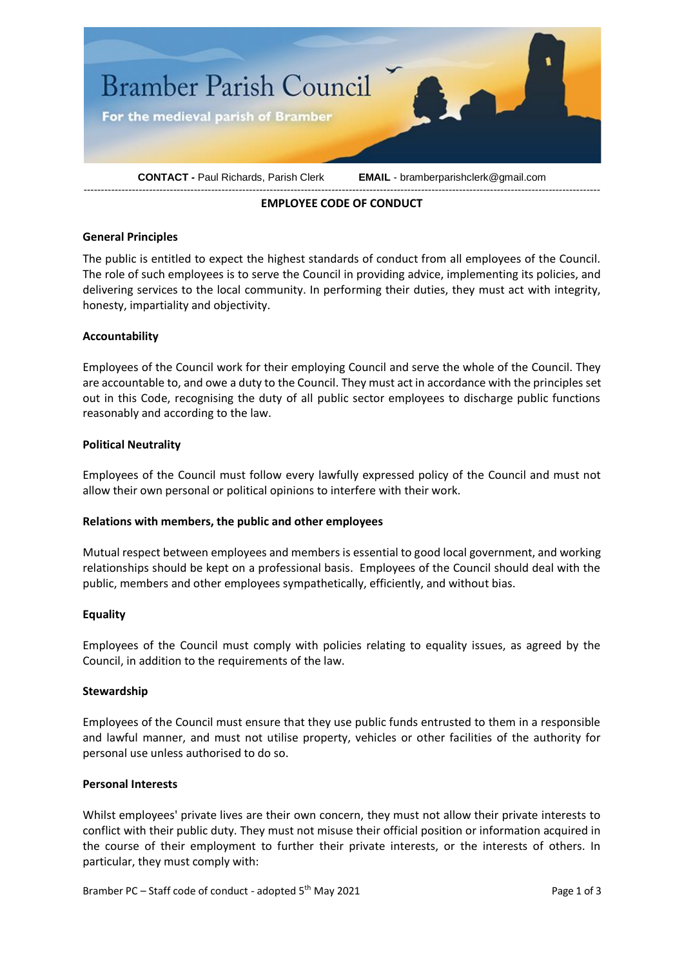

# **EMPLOYEE CODE OF CONDUCT**

### **General Principles**

The public is entitled to expect the highest standards of conduct from all employees of the Council. The role of such employees is to serve the Council in providing advice, implementing its policies, and delivering services to the local community. In performing their duties, they must act with integrity, honesty, impartiality and objectivity.

### **Accountability**

Employees of the Council work for their employing Council and serve the whole of the Council. They are accountable to, and owe a duty to the Council. They must act in accordance with the principles set out in this Code, recognising the duty of all public sector employees to discharge public functions reasonably and according to the law.

### **Political Neutrality**

Employees of the Council must follow every lawfully expressed policy of the Council and must not allow their own personal or political opinions to interfere with their work.

#### **Relations with members, the public and other employees**

Mutual respect between employees and members is essential to good local government, and working relationships should be kept on a professional basis. Employees of the Council should deal with the public, members and other employees sympathetically, efficiently, and without bias.

#### **Equality**

Employees of the Council must comply with policies relating to equality issues, as agreed by the Council, in addition to the requirements of the law.

#### **Stewardship**

Employees of the Council must ensure that they use public funds entrusted to them in a responsible and lawful manner, and must not utilise property, vehicles or other facilities of the authority for personal use unless authorised to do so.

#### **Personal Interests**

Whilst employees' private lives are their own concern, they must not allow their private interests to conflict with their public duty. They must not misuse their official position or information acquired in the course of their employment to further their private interests, or the interests of others. In particular, they must comply with:

Bramber PC – Staff code of conduct - adopted 5<sup>th</sup> May 2021 Page 1 of 3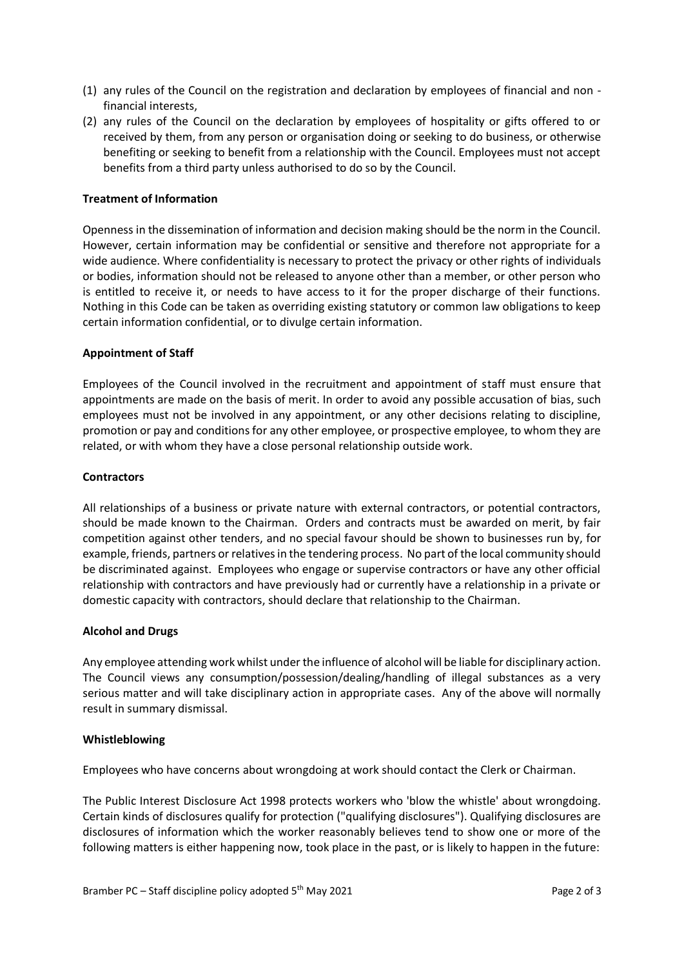- (1) any rules of the Council on the registration and declaration by employees of financial and non financial interests,
- (2) any rules of the Council on the declaration by employees of hospitality or gifts offered to or received by them, from any person or organisation doing or seeking to do business, or otherwise benefiting or seeking to benefit from a relationship with the Council. Employees must not accept benefits from a third party unless authorised to do so by the Council.

## **Treatment of Information**

Openness in the dissemination of information and decision making should be the norm in the Council. However, certain information may be confidential or sensitive and therefore not appropriate for a wide audience. Where confidentiality is necessary to protect the privacy or other rights of individuals or bodies, information should not be released to anyone other than a member, or other person who is entitled to receive it, or needs to have access to it for the proper discharge of their functions. Nothing in this Code can be taken as overriding existing statutory or common law obligations to keep certain information confidential, or to divulge certain information.

### **Appointment of Staff**

Employees of the Council involved in the recruitment and appointment of staff must ensure that appointments are made on the basis of merit. In order to avoid any possible accusation of bias, such employees must not be involved in any appointment, or any other decisions relating to discipline, promotion or pay and conditions for any other employee, or prospective employee, to whom they are related, or with whom they have a close personal relationship outside work.

#### **Contractors**

All relationships of a business or private nature with external contractors, or potential contractors, should be made known to the Chairman. Orders and contracts must be awarded on merit, by fair competition against other tenders, and no special favour should be shown to businesses run by, for example, friends, partners or relatives in the tendering process. No part of the local community should be discriminated against. Employees who engage or supervise contractors or have any other official relationship with contractors and have previously had or currently have a relationship in a private or domestic capacity with contractors, should declare that relationship to the Chairman.

#### **Alcohol and Drugs**

Any employee attending work whilst under the influence of alcohol will be liable for disciplinary action. The Council views any consumption/possession/dealing/handling of illegal substances as a very serious matter and will take disciplinary action in appropriate cases. Any of the above will normally result in summary dismissal.

#### **Whistleblowing**

Employees who have concerns about wrongdoing at work should contact the Clerk or Chairman.

The Public Interest Disclosure Act 1998 protects workers who 'blow the whistle' about wrongdoing. Certain kinds of disclosures qualify for protection ("qualifying disclosures"). Qualifying disclosures are disclosures of information which the worker reasonably believes tend to show one or more of the following matters is either happening now, took place in the past, or is likely to happen in the future: